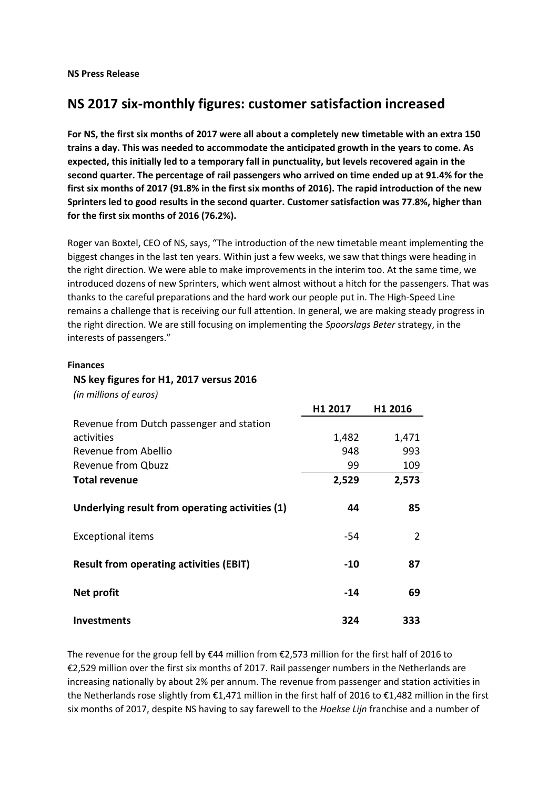**NS Press Release**

# **NS 2017 six-monthly figures: customer satisfaction increased**

**For NS, the first six months of 2017 were all about a completely new timetable with an extra 150 trains a day. This was needed to accommodate the anticipated growth in the years to come. As expected, this initially led to a temporary fall in punctuality, but levels recovered again in the second quarter. The percentage of rail passengers who arrived on time ended up at 91.4% for the first six months of 2017 (91.8% in the first six months of 2016). The rapid introduction of the new Sprinters led to good results in the second quarter. Customer satisfaction was 77.8%, higher than for the first six months of 2016 (76.2%).**

Roger van Boxtel, CEO of NS, says, "The introduction of the new timetable meant implementing the biggest changes in the last ten years. Within just a few weeks, we saw that things were heading in the right direction. We were able to make improvements in the interim too. At the same time, we introduced dozens of new Sprinters, which went almost without a hitch for the passengers. That was thanks to the careful preparations and the hard work our people put in. The High-Speed Line remains a challenge that is receiving our full attention. In general, we are making steady progress in the right direction. We are still focusing on implementing the *Spoorslags Beter* strategy, in the interests of passengers."

#### **Finances**

#### **NS key figures for H1, 2017 versus 2016**

*(in millions of euros)*

|                                                 | H <sub>1</sub> 2017 | H <sub>1</sub> 2016 |
|-------------------------------------------------|---------------------|---------------------|
| Revenue from Dutch passenger and station        |                     |                     |
| activities                                      | 1,482               | 1,471               |
| Revenue from Abellio                            | 948                 | 993                 |
| <b>Revenue from Qbuzz</b>                       | 99                  | 109                 |
| <b>Total revenue</b>                            | 2,529               | 2,573               |
| Underlying result from operating activities (1) | 44                  | 85                  |
| <b>Exceptional items</b>                        | -54                 | 2                   |
| <b>Result from operating activities (EBIT)</b>  | $-10$               | 87                  |
| Net profit                                      | $-14$               | 69                  |
| <b>Investments</b>                              | 324                 | 333                 |

The revenue for the group fell by €44 million from €2,573 million for the first half of 2016 to €2,529 million over the first six months of 2017. Rail passenger numbers in the Netherlands are increasing nationally by about 2% per annum. The revenue from passenger and station activities in the Netherlands rose slightly from €1,471 million in the first half of 2016 to €1,482 million in the first six months of 2017, despite NS having to say farewell to the *Hoekse Lijn* franchise and a number of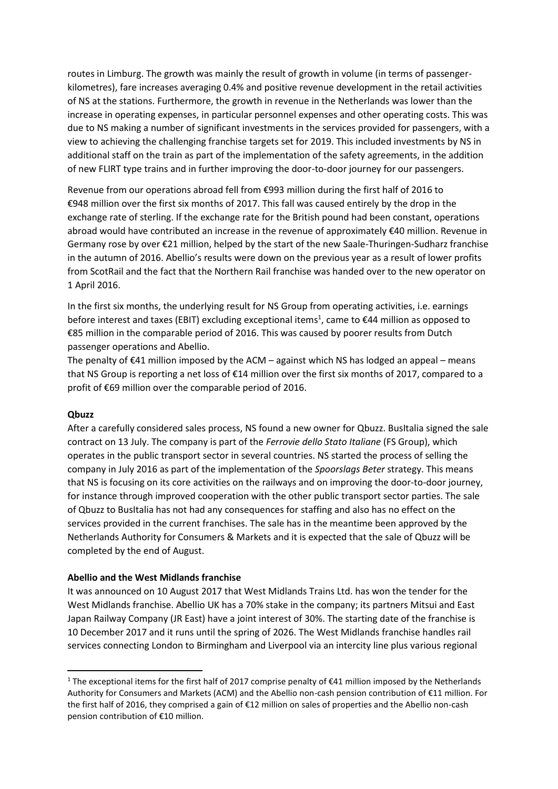routes in Limburg. The growth was mainly the result of growth in volume (in terms of passengerkilometres), fare increases averaging 0.4% and positive revenue development in the retail activities of NS at the stations. Furthermore, the growth in revenue in the Netherlands was lower than the increase in operating expenses, in particular personnel expenses and other operating costs. This was due to NS making a number of significant investments in the services provided for passengers, with a view to achieving the challenging franchise targets set for 2019. This included investments by NS in additional staff on the train as part of the implementation of the safety agreements, in the addition of new FLIRT type trains and in further improving the door-to-door journey for our passengers.

Revenue from our operations abroad fell from €993 million during the first half of 2016 to €948 million over the first six months of 2017. This fall was caused entirely by the drop in the exchange rate of sterling. If the exchange rate for the British pound had been constant, operations abroad would have contributed an increase in the revenue of approximately €40 million. Revenue in Germany rose by over €21 million, helped by the start of the new Saale-Thuringen-Sudharz franchise in the autumn of 2016. Abellio's results were down on the previous year as a result of lower profits from ScotRail and the fact that the Northern Rail franchise was handed over to the new operator on 1 April 2016.

In the first six months, the underlying result for NS Group from operating activities, i.e. earnings before interest and taxes (EBIT) excluding exceptional items<sup>1</sup>, came to  $\epsilon$ 44 million as opposed to €85 million in the comparable period of 2016. This was caused by poorer results from Dutch passenger operations and Abellio.

The penalty of  $\epsilon$ 41 million imposed by the ACM – against which NS has lodged an appeal – means that NS Group is reporting a net loss of €14 million over the first six months of 2017, compared to a profit of €69 million over the comparable period of 2016.

#### **Qbuzz**

1

After a carefully considered sales process, NS found a new owner for Qbuzz. BusItalia signed the sale contract on 13 July. The company is part of the *Ferrovie dello Stato Italiane* (FS Group), which operates in the public transport sector in several countries. NS started the process of selling the company in July 2016 as part of the implementation of the *Spoorslags Beter* strategy. This means that NS is focusing on its core activities on the railways and on improving the door-to-door journey, for instance through improved cooperation with the other public transport sector parties. The sale of Qbuzz to BusItalia has not had any consequences for staffing and also has no effect on the services provided in the current franchises. The sale has in the meantime been approved by the Netherlands Authority for Consumers & Markets and it is expected that the sale of Qbuzz will be completed by the end of August.

#### **Abellio and the West Midlands franchise**

It was announced on 10 August 2017 that West Midlands Trains Ltd. has won the tender for the West Midlands franchise. Abellio UK has a 70% stake in the company; its partners Mitsui and East Japan Railway Company (JR East) have a joint interest of 30%. The starting date of the franchise is 10 December 2017 and it runs until the spring of 2026. The West Midlands franchise handles rail services connecting London to Birmingham and Liverpool via an intercity line plus various regional

<sup>1</sup> The exceptional items for the first half of 2017 comprise penalty of €41 million imposed by the Netherlands Authority for Consumers and Markets (ACM) and the Abellio non-cash pension contribution of €11 million. For the first half of 2016, they comprised a gain of €12 million on sales of properties and the Abellio non-cash pension contribution of €10 million.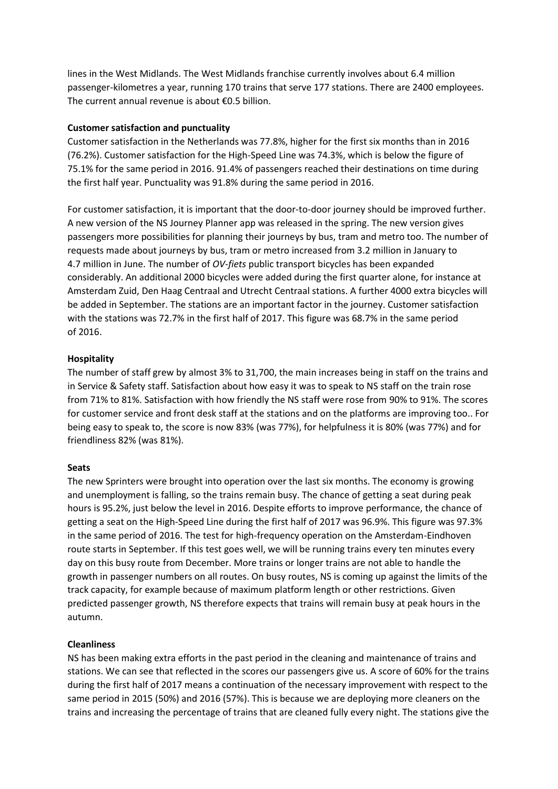lines in the West Midlands. The West Midlands franchise currently involves about 6.4 million passenger-kilometres a year, running 170 trains that serve 177 stations. There are 2400 employees. The current annual revenue is about €0.5 billion.

## **Customer satisfaction and punctuality**

Customer satisfaction in the Netherlands was 77.8%, higher for the first six months than in 2016 (76.2%). Customer satisfaction for the High-Speed Line was 74.3%, which is below the figure of 75.1% for the same period in 2016. 91.4% of passengers reached their destinations on time during the first half year. Punctuality was 91.8% during the same period in 2016.

For customer satisfaction, it is important that the door-to-door journey should be improved further. A new version of the NS Journey Planner app was released in the spring. The new version gives passengers more possibilities for planning their journeys by bus, tram and metro too. The number of requests made about journeys by bus, tram or metro increased from 3.2 million in January to 4.7 million in June. The number of *OV-fiets* public transport bicycles has been expanded considerably. An additional 2000 bicycles were added during the first quarter alone, for instance at Amsterdam Zuid, Den Haag Centraal and Utrecht Centraal stations. A further 4000 extra bicycles will be added in September. The stations are an important factor in the journey. Customer satisfaction with the stations was 72.7% in the first half of 2017. This figure was 68.7% in the same period of 2016.

## **Hospitality**

The number of staff grew by almost 3% to 31,700, the main increases being in staff on the trains and in Service & Safety staff. Satisfaction about how easy it was to speak to NS staff on the train rose from 71% to 81%. Satisfaction with how friendly the NS staff were rose from 90% to 91%. The scores for customer service and front desk staff at the stations and on the platforms are improving too.. For being easy to speak to, the score is now 83% (was 77%), for helpfulness it is 80% (was 77%) and for friendliness 82% (was 81%).

## **Seats**

The new Sprinters were brought into operation over the last six months. The economy is growing and unemployment is falling, so the trains remain busy. The chance of getting a seat during peak hours is 95.2%, just below the level in 2016. Despite efforts to improve performance, the chance of getting a seat on the High-Speed Line during the first half of 2017 was 96.9%. This figure was 97.3% in the same period of 2016. The test for high-frequency operation on the Amsterdam-Eindhoven route starts in September. If this test goes well, we will be running trains every ten minutes every day on this busy route from December. More trains or longer trains are not able to handle the growth in passenger numbers on all routes. On busy routes, NS is coming up against the limits of the track capacity, for example because of maximum platform length or other restrictions. Given predicted passenger growth, NS therefore expects that trains will remain busy at peak hours in the autumn.

## **Cleanliness**

NS has been making extra efforts in the past period in the cleaning and maintenance of trains and stations. We can see that reflected in the scores our passengers give us. A score of 60% for the trains during the first half of 2017 means a continuation of the necessary improvement with respect to the same period in 2015 (50%) and 2016 (57%). This is because we are deploying more cleaners on the trains and increasing the percentage of trains that are cleaned fully every night. The stations give the